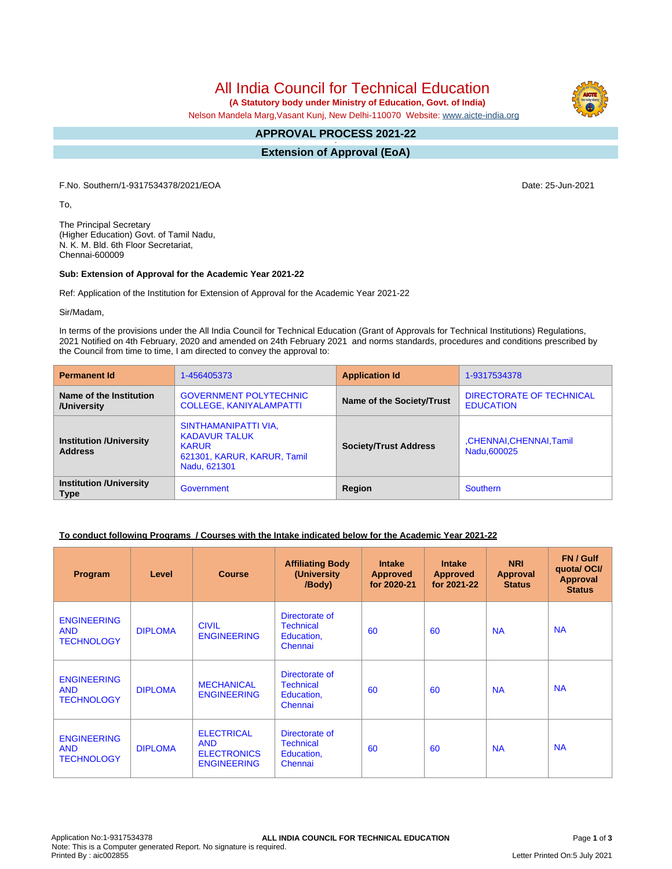All India Council for Technical Education

 **(A Statutory body under Ministry of Education, Govt. of India)**

Nelson Mandela Marg,Vasant Kunj, New Delhi-110070 Website: [www.aicte-india.org](http://www.aicte-india.org)

#### **APPROVAL PROCESS 2021-22 -**

**Extension of Approval (EoA)**

F.No. Southern/1-9317534378/2021/EOA Date: 25-Jun-2021

To,

The Principal Secretary (Higher Education) Govt. of Tamil Nadu, N. K. M. Bld. 6th Floor Secretariat, Chennai-600009

#### **Sub: Extension of Approval for the Academic Year 2021-22**

Ref: Application of the Institution for Extension of Approval for the Academic Year 2021-22

Sir/Madam,

In terms of the provisions under the All India Council for Technical Education (Grant of Approvals for Technical Institutions) Regulations, 2021 Notified on 4th February, 2020 and amended on 24th February 2021 and norms standards, procedures and conditions prescribed by the Council from time to time, I am directed to convey the approval to:

| <b>Permanent Id</b>                              | 1-456405373                                                                                                 | <b>Application Id</b>        | 1-9317534378                                 |  |
|--------------------------------------------------|-------------------------------------------------------------------------------------------------------------|------------------------------|----------------------------------------------|--|
| Name of the Institution<br>/University           | <b>GOVERNMENT POLYTECHNIC</b><br><b>COLLEGE, KANIYALAMPATTI</b>                                             | Name of the Society/Trust    | DIRECTORATE OF TECHNICAL<br><b>EDUCATION</b> |  |
| <b>Institution /University</b><br><b>Address</b> | SINTHAMANIPATTI VIA,<br><b>KADAVUR TALUK</b><br><b>KARUR</b><br>621301, KARUR, KARUR, Tamil<br>Nadu, 621301 | <b>Society/Trust Address</b> | ,CHENNAI,CHENNAI,Tamil<br>Nadu, 600025       |  |
| <b>Institution /University</b><br><b>Type</b>    | Government                                                                                                  | Region                       | <b>Southern</b>                              |  |

## **To conduct following Programs / Courses with the Intake indicated below for the Academic Year 2021-22**

| Program                                               | Level          | <b>Course</b>                                                               | <b>Affiliating Body</b><br>(University<br>/Body)            | <b>Intake</b><br><b>Approved</b><br>for 2020-21 | <b>Intake</b><br><b>Approved</b><br>for 2021-22 | <b>NRI</b><br>Approval<br><b>Status</b> | FN / Gulf<br>quota/OCI/<br><b>Approval</b><br><b>Status</b> |
|-------------------------------------------------------|----------------|-----------------------------------------------------------------------------|-------------------------------------------------------------|-------------------------------------------------|-------------------------------------------------|-----------------------------------------|-------------------------------------------------------------|
| <b>ENGINEERING</b><br><b>AND</b><br><b>TECHNOLOGY</b> | <b>DIPLOMA</b> | <b>CIVIL</b><br><b>ENGINEERING</b>                                          | Directorate of<br><b>Technical</b><br>Education,<br>Chennai | 60                                              | 60                                              | <b>NA</b>                               | <b>NA</b>                                                   |
| <b>ENGINEERING</b><br><b>AND</b><br><b>TECHNOLOGY</b> | <b>DIPLOMA</b> | <b>MECHANICAL</b><br><b>ENGINEERING</b>                                     | Directorate of<br><b>Technical</b><br>Education,<br>Chennai | 60                                              | 60                                              | <b>NA</b>                               | <b>NA</b>                                                   |
| <b>ENGINEERING</b><br><b>AND</b><br><b>TECHNOLOGY</b> | <b>DIPLOMA</b> | <b>ELECTRICAL</b><br><b>AND</b><br><b>ELECTRONICS</b><br><b>ENGINEERING</b> | Directorate of<br><b>Technical</b><br>Education,<br>Chennai | 60                                              | 60                                              | <b>NA</b>                               | <b>NA</b>                                                   |

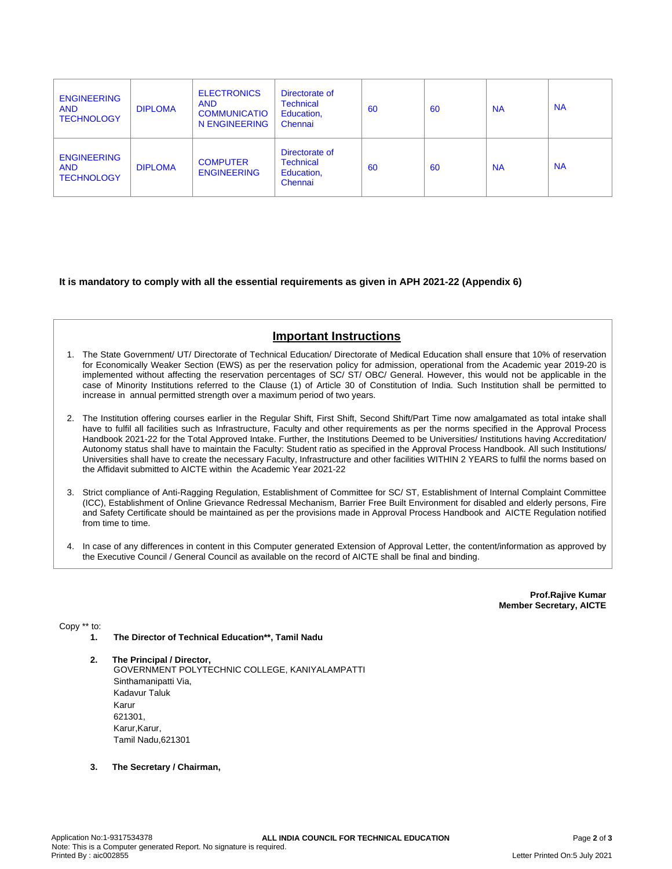| <b>ENGINEERING</b><br><b>AND</b><br><b>TECHNOLOGY</b> | <b>DIPLOMA</b> | <b>ELECTRONICS</b><br><b>AND</b><br><b>COMMUNICATIO</b><br>N ENGINEERING | Directorate of<br><b>Technical</b><br>Education,<br>Chennai | 60 | 60 | <b>NA</b> | <b>NA</b> |
|-------------------------------------------------------|----------------|--------------------------------------------------------------------------|-------------------------------------------------------------|----|----|-----------|-----------|
| <b>ENGINEERING</b><br><b>AND</b><br><b>TECHNOLOGY</b> | <b>DIPLOMA</b> | <b>COMPUTER</b><br><b>ENGINEERING</b>                                    | Directorate of<br><b>Technical</b><br>Education,<br>Chennai | 60 | 60 | <b>NA</b> | <b>NA</b> |

## **It is mandatory to comply with all the essential requirements as given in APH 2021-22 (Appendix 6)**

# **Important Instructions**

- 1. The State Government/ UT/ Directorate of Technical Education/ Directorate of Medical Education shall ensure that 10% of reservation for Economically Weaker Section (EWS) as per the reservation policy for admission, operational from the Academic year 2019-20 is implemented without affecting the reservation percentages of SC/ ST/ OBC/ General. However, this would not be applicable in the case of Minority Institutions referred to the Clause (1) of Article 30 of Constitution of India. Such Institution shall be permitted to increase in annual permitted strength over a maximum period of two years.
- 2. The Institution offering courses earlier in the Regular Shift, First Shift, Second Shift/Part Time now amalgamated as total intake shall have to fulfil all facilities such as Infrastructure, Faculty and other requirements as per the norms specified in the Approval Process Handbook 2021-22 for the Total Approved Intake. Further, the Institutions Deemed to be Universities/ Institutions having Accreditation/ Autonomy status shall have to maintain the Faculty: Student ratio as specified in the Approval Process Handbook. All such Institutions/ Universities shall have to create the necessary Faculty, Infrastructure and other facilities WITHIN 2 YEARS to fulfil the norms based on the Affidavit submitted to AICTE within the Academic Year 2021-22
- 3. Strict compliance of Anti-Ragging Regulation, Establishment of Committee for SC/ ST, Establishment of Internal Complaint Committee (ICC), Establishment of Online Grievance Redressal Mechanism, Barrier Free Built Environment for disabled and elderly persons, Fire and Safety Certificate should be maintained as per the provisions made in Approval Process Handbook and AICTE Regulation notified from time to time.
- 4. In case of any differences in content in this Computer generated Extension of Approval Letter, the content/information as approved by the Executive Council / General Council as available on the record of AICTE shall be final and binding.

**Prof.Rajive Kumar Member Secretary, AICTE**

Copy \*\* to:

- **1. The Director of Technical Education\*\*, Tamil Nadu**
- **2. The Principal / Director,** GOVERNMENT POLYTECHNIC COLLEGE, KANIYALAMPATTI Sinthamanipatti Via, Kadavur Taluk Karur 621301, Karur, Karur, Tamil Nadu,621301
- **3. The Secretary / Chairman,**